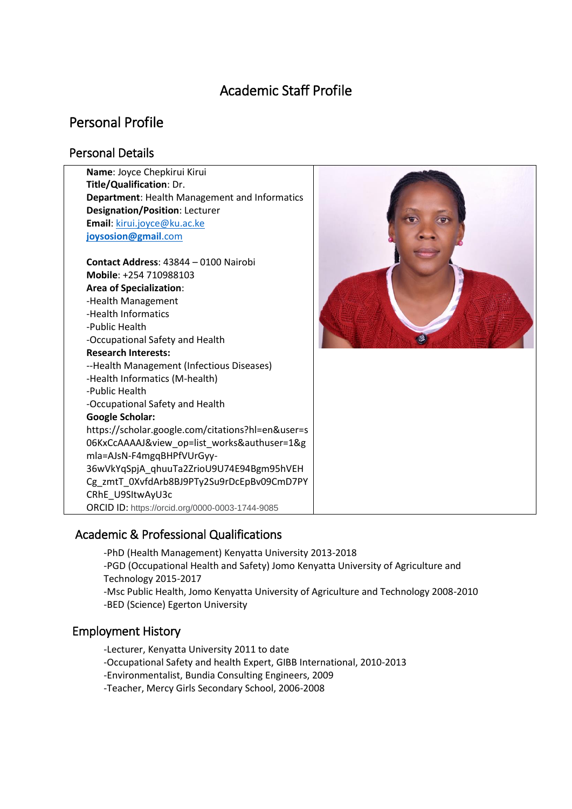# Academic Staff Profile

# Personal Profile

## Personal Details

| Name: Joyce Chepkirui Kirui                                                                                                                                                                                                                                                                                                                                                                                                                                                                                                                                                                                                                    |  |
|------------------------------------------------------------------------------------------------------------------------------------------------------------------------------------------------------------------------------------------------------------------------------------------------------------------------------------------------------------------------------------------------------------------------------------------------------------------------------------------------------------------------------------------------------------------------------------------------------------------------------------------------|--|
| Title/Qualification: Dr.                                                                                                                                                                                                                                                                                                                                                                                                                                                                                                                                                                                                                       |  |
| Department: Health Management and Informatics                                                                                                                                                                                                                                                                                                                                                                                                                                                                                                                                                                                                  |  |
| <b>Designation/Position: Lecturer</b>                                                                                                                                                                                                                                                                                                                                                                                                                                                                                                                                                                                                          |  |
| Email: kirui.joyce@ku.ac.ke                                                                                                                                                                                                                                                                                                                                                                                                                                                                                                                                                                                                                    |  |
| joysosion@gmail.com                                                                                                                                                                                                                                                                                                                                                                                                                                                                                                                                                                                                                            |  |
| Contact Address: 43844 - 0100 Nairobi<br>Mobile: +254 710988103<br><b>Area of Specialization:</b><br>-Health Management<br>-Health Informatics<br>-Public Health<br>-Occupational Safety and Health<br><b>Research Interests:</b><br>--Health Management (Infectious Diseases)<br>-Health Informatics (M-health)<br>-Public Health<br>-Occupational Safety and Health<br><b>Google Scholar:</b><br>https://scholar.google.com/citations?hl=en&user=s<br>06KxCcAAAAJ&view_op=list_works&authuser=1&g<br>mla=AJsN-F4mgqBHPfVUrGyy-<br>36wVkYqSpjA_qhuuTa2ZrioU9U74E94Bgm95hVEH<br>Cg_zmtT_0XvfdArb8BJ9PTy2Su9rDcEpBv09CmD7PY<br>CRhE_U9SItwAyU3c |  |
| ORCID ID: https://orcid.org/0000-0003-1744-9085                                                                                                                                                                                                                                                                                                                                                                                                                                                                                                                                                                                                |  |
|                                                                                                                                                                                                                                                                                                                                                                                                                                                                                                                                                                                                                                                |  |

# Academic & Professional Qualifications

-PhD (Health Management) Kenyatta University 2013-2018 -PGD (Occupational Health and Safety) Jomo Kenyatta University of Agriculture and Technology 2015-2017 -Msc Public Health, Jomo Kenyatta University of Agriculture and Technology 2008-2010 -BED (Science) Egerton University

## Employment History

- -Lecturer, Kenyatta University 2011 to date
- -Occupational Safety and health Expert, GIBB International, 2010-2013
- -Environmentalist, Bundia Consulting Engineers, 2009
- -Teacher, Mercy Girls Secondary School, 2006-2008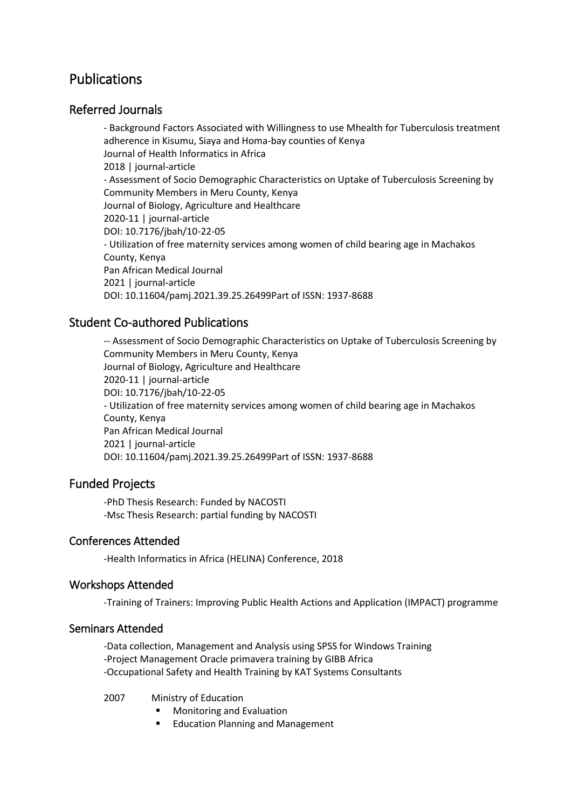# Publications

# Referred Journals

- Background Factors Associated with Willingness to use Mhealth for Tuberculosis treatment adherence in Kisumu, Siaya and Homa-bay counties of Kenya Journal of Health Informatics in Africa 2018 | journal-article - Assessment of Socio Demographic Characteristics on Uptake of Tuberculosis Screening by Community Members in Meru County, Kenya Journal of Biology, Agriculture and Healthcare 2020-11 | journal-article DOI: 10.7176/jbah/10-22-05 - Utilization of free maternity services among women of child bearing age in Machakos County, Kenya Pan African Medical Journal 2021 | journal-article DOI: 10.11604/pamj.2021.39.25.26499Part of ISSN: 1937-8688

# Student Co-authored Publications

-- Assessment of Socio Demographic Characteristics on Uptake of Tuberculosis Screening by Community Members in Meru County, Kenya Journal of Biology, Agriculture and Healthcare 2020-11 | journal-article DOI: 10.7176/jbah/10-22-05 - Utilization of free maternity services among women of child bearing age in Machakos County, Kenya Pan African Medical Journal 2021 | journal-article DOI: 10.11604/pamj.2021.39.25.26499Part of ISSN: 1937-8688

## Funded Projects

-PhD Thesis Research: Funded by NACOSTI -Msc Thesis Research: partial funding by NACOSTI

#### Conferences Attended

-Health Informatics in Africa (HELINA) Conference, 2018

#### Workshops Attended

-Training of Trainers: Improving Public Health Actions and Application (IMPACT) programme

#### Seminars Attended

-Data collection, Management and Analysis using SPSS for Windows Training -Project Management Oracle primavera training by GIBB Africa -Occupational Safety and Health Training by KAT Systems Consultants

2007 Ministry of Education

- Monitoring and Evaluation
- Education Planning and Management